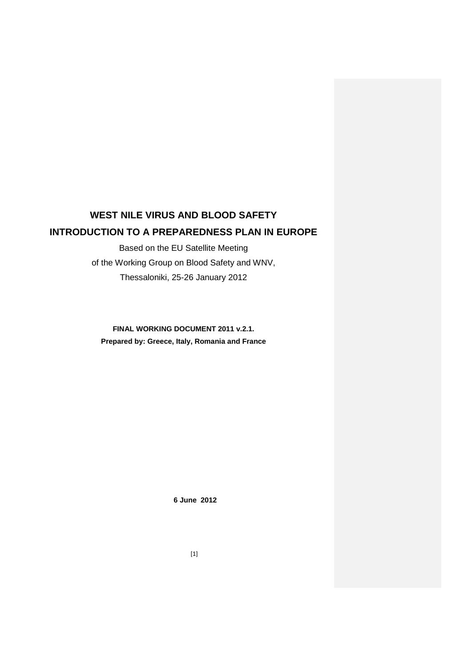# **WEST NILE VIRUS AND BLOOD SAFETY INTRODUCTION TO A PREPAREDNESS PLAN IN EUROPE**

Based on the EU Satellite Meeting of the Working Group on Blood Safety and WNV, Thessaloniki, 25-26 January 2012

**FINAL WORKING DOCUMENT 2011 v.2.1. Prepared by: Greece, Italy, Romania and France**

**6 June 2012**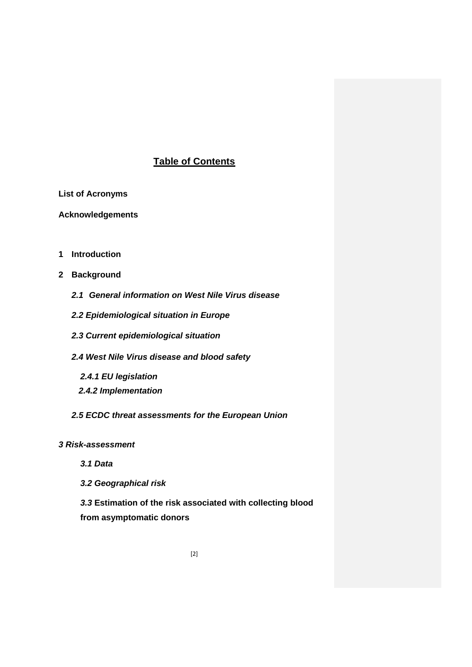# **Table of Contents**

**List of Acronyms**

**Acknowledgements**

- **1 Introduction**
- **2 Background**
	- *2.1 General information on West Nile Virus disease*
	- *2.2 Epidemiological situation in Europe*
	- *2.3 Current epidemiological situation*
	- *2.4 West Nile Virus disease and blood safety*
		- *2.4.1 EU legislation*
		- *2.4.2 Implementation*
	- *2.5 ECDC threat assessments for the European Union*

*3 Risk-assessment*

- *3.1 Data*
- *3.2 Geographical risk*

*3.3* **Estimation of the risk associated with collecting blood from asymptomatic donors**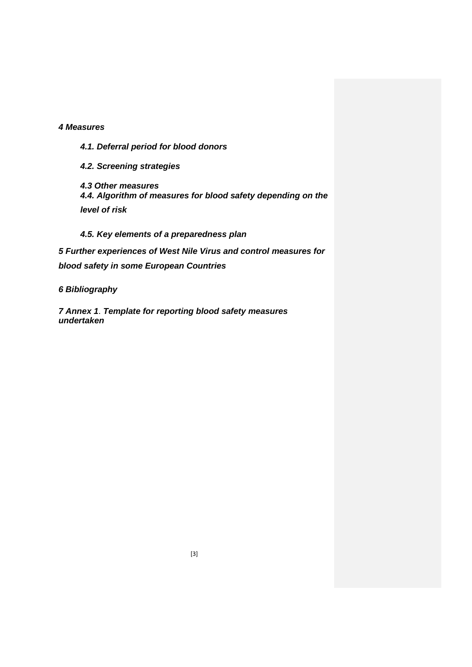# *4 Measures*

*4.1. Deferral period for blood donors*

*4.2. Screening strategies*

*4.3 Other measures 4.4. Algorithm of measures for blood safety depending on the level of risk*

*4.5. Key elements of a preparedness plan*

*5 Further experiences of West Nile Virus and control measures for blood safety in some European Countries*

*6 Bibliography*

*7 Annex 1*. *Template for reporting blood safety measures undertaken*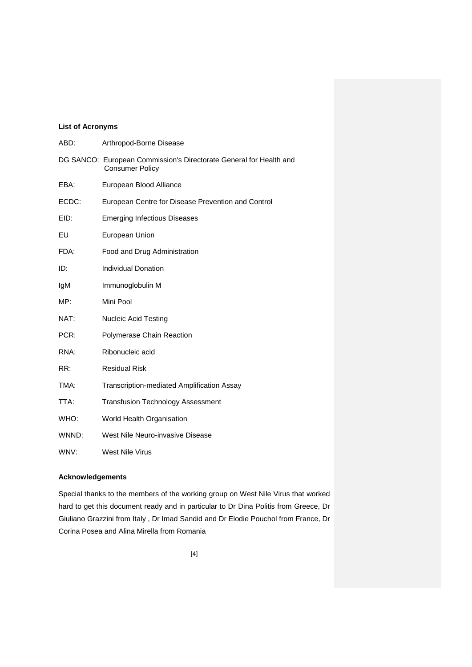# **List of Acronyms**

| ABD:  | Arthropod-Borne Disease                                                                      |
|-------|----------------------------------------------------------------------------------------------|
|       | DG SANCO: European Commission's Directorate General for Health and<br><b>Consumer Policy</b> |
| EBA:  | European Blood Alliance                                                                      |
| ECDC: | European Centre for Disease Prevention and Control                                           |
| EID:  | <b>Emerging Infectious Diseases</b>                                                          |
| EU    | European Union                                                                               |
| FDA:  | Food and Drug Administration                                                                 |
| ID:   | <b>Individual Donation</b>                                                                   |
| IgM   | Immunoglobulin M                                                                             |
| MP:   | Mini Pool                                                                                    |
| NAT:  | <b>Nucleic Acid Testing</b>                                                                  |
| PCR:  | Polymerase Chain Reaction                                                                    |
| RNA:  | Ribonucleic acid                                                                             |
| RR:   | <b>Residual Risk</b>                                                                         |
| TMA:  | Transcription-mediated Amplification Assay                                                   |
| TTA:  | <b>Transfusion Technology Assessment</b>                                                     |
| WHO:  | World Health Organisation                                                                    |
| WNND: | West Nile Neuro-invasive Disease                                                             |
| WNV:  | <b>West Nile Virus</b>                                                                       |

# **Acknowledgements**

Special thanks to the members of the working group on West Nile Virus that worked hard to get this document ready and in particular to Dr Dina Politis from Greece, Dr Giuliano Grazzini from Italy , Dr Imad Sandid and Dr Elodie Pouchol from France, Dr Corina Posea and Alina Mirella from Romania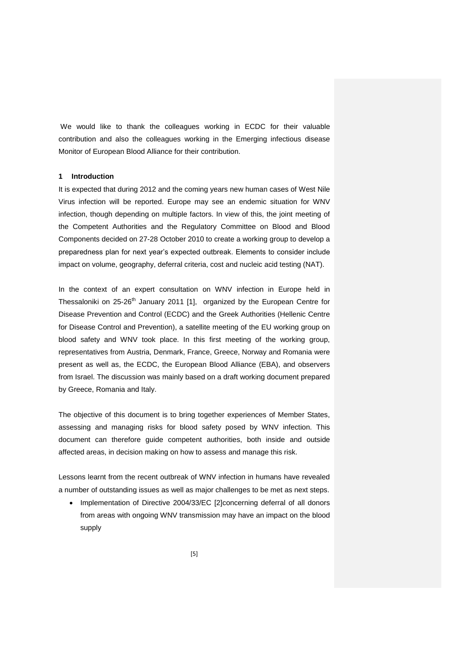We would like to thank the colleagues working in ECDC for their valuable contribution and also the colleagues working in the Emerging infectious disease Monitor of European Blood Alliance for their contribution.

# **1 Introduction**

It is expected that during 2012 and the coming years new human cases of West Nile Virus infection will be reported. Europe may see an endemic situation for WNV infection, though depending on multiple factors. In view of this, the joint meeting of the Competent Authorities and the Regulatory Committee on Blood and Blood Components decided on 27-28 October 2010 to create a working group to develop a preparedness plan for next year's expected outbreak. Elements to consider include impact on volume, geography, deferral criteria, cost and nucleic acid testing (NAT).

In the context of an expert consultation on WNV infection in Europe held in Thessaloniki on  $25{\text -}26^{\text{th}}$  January 2011 [1], organized by the European Centre for Disease Prevention and Control (ECDC) and the Greek Authorities (Hellenic Centre for Disease Control and Prevention), a satellite meeting of the EU working group on blood safety and WNV took place. In this first meeting of the working group, representatives from Austria, Denmark, France, Greece, Norway and Romania were present as well as, the ECDC, the European Blood Alliance (EBA), and observers from Israel. The discussion was mainly based on a draft working document prepared by Greece, Romania and Italy.

The objective of this document is to bring together experiences of Member States, assessing and managing risks for blood safety posed by WNV infection. This document can therefore guide competent authorities, both inside and outside affected areas, in decision making on how to assess and manage this risk.

Lessons learnt from the recent outbreak of WNV infection in humans have revealed a number of outstanding issues as well as major challenges to be met as next steps.

• Implementation of Directive 2004/33/EC [2]concerning deferral of all donors from areas with ongoing WNV transmission may have an impact on the blood supply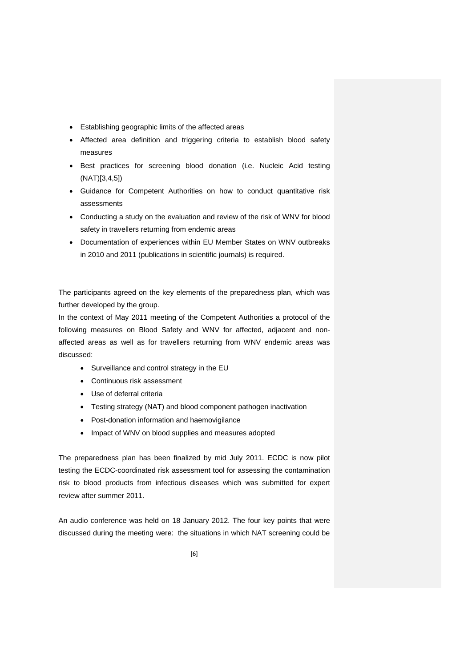- Establishing geographic limits of the affected areas
- Affected area definition and triggering criteria to establish blood safety measures
- Best practices for screening blood donation (i.e. Nucleic Acid testing (NAT)[3,4,5])
- Guidance for Competent Authorities on how to conduct quantitative risk assessments
- Conducting a study on the evaluation and review of the risk of WNV for blood safety in travellers returning from endemic areas
- Documentation of experiences within EU Member States on WNV outbreaks in 2010 and 2011 (publications in scientific journals) is required.

The participants agreed on the key elements of the preparedness plan, which was further developed by the group.

In the context of May 2011 meeting of the Competent Authorities a protocol of the following measures on Blood Safety and WNV for affected, adjacent and nonaffected areas as well as for travellers returning from WNV endemic areas was discussed:

- Surveillance and control strategy in the EU
- Continuous risk assessment
- Use of deferral criteria
- Testing strategy (NAT) and blood component pathogen inactivation
- Post-donation information and haemovigilance
- Impact of WNV on blood supplies and measures adopted

The preparedness plan has been finalized by mid July 2011. ECDC is now pilot testing the ECDC-coordinated risk assessment tool for assessing the contamination risk to blood products from infectious diseases which was submitted for expert review after summer 2011.

An audio conference was held on 18 January 2012. The four key points that were discussed during the meeting were: the situations in which NAT screening could be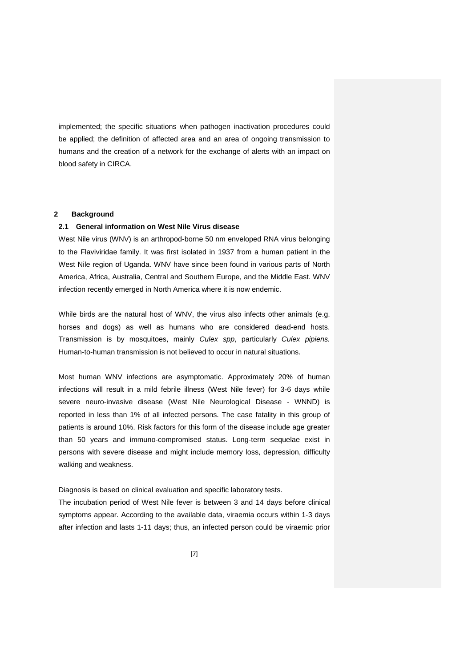implemented; the specific situations when pathogen inactivation procedures could be applied; the definition of affected area and an area of ongoing transmission to humans and the creation of a network for the exchange of alerts with an impact on blood safety in CIRCA.

# **2 Background**

### **2.1 General information on West Nile Virus disease**

West Nile virus (WNV) is an arthropod-borne 50 nm enveloped RNA virus belonging to the Flaviviridae family. It was first isolated in 1937 from a human patient in the West Nile region of Uganda. WNV have since been found in various parts of North America, Africa, Australia, Central and Southern Europe, and the Middle East. WNV infection recently emerged in North America where it is now endemic.

While birds are the natural host of WNV, the virus also infects other animals (e.g. horses and dogs) as well as humans who are considered dead-end hosts. Transmission is by mosquitoes, mainly *Culex spp*, particularly *Culex pipiens.* Human-to-human transmission is not believed to occur in natural situations.

Most human WNV infections are asymptomatic. Approximately 20% of human infections will result in a mild febrile illness (West Nile fever) for 3-6 days while severe neuro-invasive disease (West Nile Neurological Disease - WNND) is reported in less than 1% of all infected persons. The case fatality in this group of patients is around 10%. Risk factors for this form of the disease include age greater than 50 years and immuno-compromised status. Long-term sequelae exist in persons with severe disease and might include memory loss, depression, difficulty walking and weakness.

Diagnosis is based on clinical evaluation and specific laboratory tests.

The incubation period of West Nile fever is between 3 and 14 days before clinical symptoms appear. According to the available data, viraemia occurs within 1-3 days after infection and lasts 1-11 days; thus, an infected person could be viraemic prior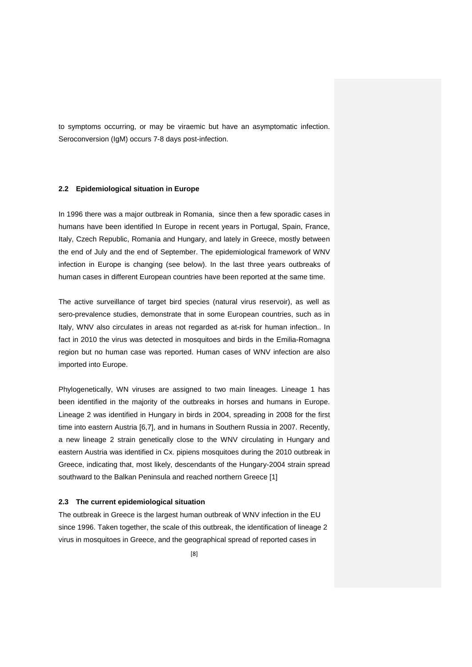to symptoms occurring, or may be viraemic but have an asymptomatic infection. Seroconversion (IgM) occurs 7-8 days post-infection.

### **2.2 Epidemiological situation in Europe**

In 1996 there was a major outbreak in Romania, since then a few sporadic cases in humans have been identified In Europe in recent years in Portugal, Spain, France, Italy, Czech Republic, Romania and Hungary, and lately in Greece, mostly between the end of July and the end of September. The epidemiological framework of WNV infection in Europe is changing (see below). In the last three years outbreaks of human cases in different European countries have been reported at the same time.

The active surveillance of target bird species (natural virus reservoir), as well as sero-prevalence studies, demonstrate that in some European countries, such as in Italy, WNV also circulates in areas not regarded as at-risk for human infection.. In fact in 2010 the virus was detected in mosquitoes and birds in the Emilia-Romagna region but no human case was reported. Human cases of WNV infection are also imported into Europe.

Phylogenetically, WN viruses are assigned to two main lineages. Lineage 1 has been identified in the majority of the outbreaks in horses and humans in Europe. Lineage 2 was identified in Hungary in birds in 2004, spreading in 2008 for the first time into eastern Austria [6,7], and in humans in Southern Russia in 2007. Recently, a new lineage 2 strain genetically close to the WNV circulating in Hungary and eastern Austria was identified in Cx. pipiens mosquitoes during the 2010 outbreak in Greece, indicating that, most likely, descendants of the Hungary-2004 strain spread southward to the Balkan Peninsula and reached northern Greece [1]

#### **2.3 The current epidemiological situation**

The outbreak in Greece is the largest human outbreak of WNV infection in the EU since 1996. Taken together, the scale of this outbreak, the identification of lineage 2 virus in mosquitoes in Greece, and the geographical spread of reported cases in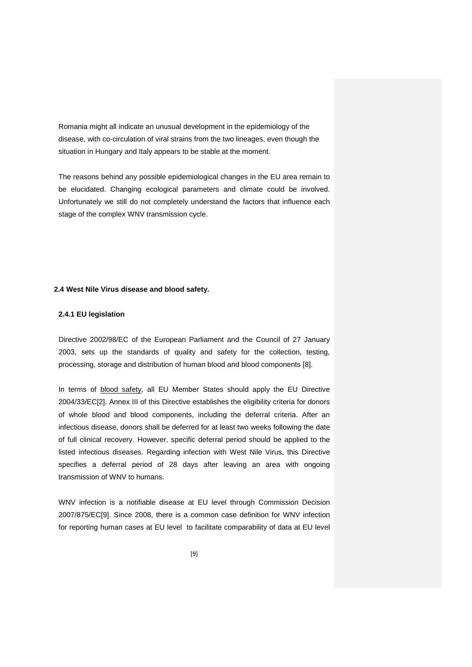Romania might all indicate an unusual development in the epidemiology of the disease, with co-circulation of viral strains from the two lineages, even though the situation in Hungary and Italy appears to be stable at the moment.

The reasons behind any possible epidemiological changes in the EU area remain to be elucidated. Changing ecological parameters and climate could be involved. Unfortunately we still do not completely understand the factors that influence each stage of the complex WNV transmission cycle.

### **2.4 West Nile Virus disease and blood safety.**

### **2.4.1 EU legislation**

Directive 2002/98/EC of the European Parliament and the Council of 27 January 2003, sets up the standards of quality and safety for the collection, testing, processing, storage and distribution of human blood and blood components [8].

In terms of blood safety, all EU Member States should apply the EU Directive 2004/33/EC[2]. Annex III of this Directive establishes the eligibility criteria for donors of whole blood and blood components, including the deferral criteria. After an infectious disease, donors shall be deferred for at least two weeks following the date of full clinical recovery. However, specific deferral period should be applied to the listed infectious diseases. Regarding infection with West Nile Virus, this Directive specifies a deferral period of 28 days after leaving an area with ongoing transmission of WNV to humans.

WNV infection is a notifiable disease at EU level through Commission Decision 2007/875/EC[9]. Since 2008, there is a common case definition for WNV infection for reporting human cases at EU level to facilitate comparability of data at EU level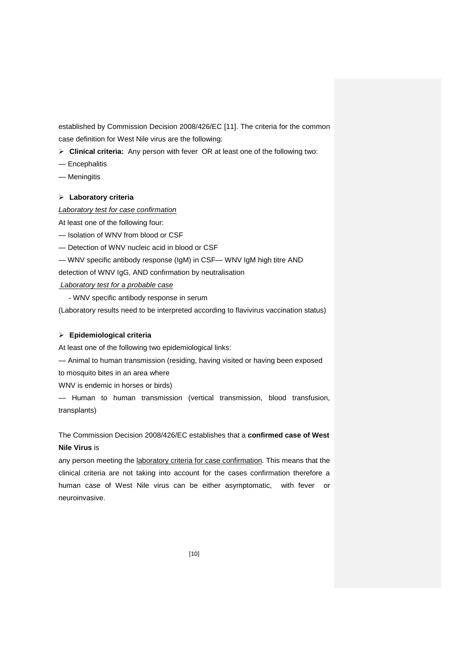established by Commission Decision 2008/426/EC [11]. The criteria for the common case definition for West Nile virus are the following:

**Clinical criteria:** Any person with feverOR at least one of the following two:

- Encephalitis
- Meningitis

# **Laboratory criteria**

# *Laboratory test for case confirmation*

At least one of the following four:

- Isolation of WNV from blood or CSF
- Detection of WNV nucleic acid in blood or CSF
- WNV specific antibody response (IgM) in CSF— WNV IgM high titre AND

detection of WNV IgG, AND confirmation by neutralisation

*Laboratory test for a probable case*

- WNV specific antibody response in serum

(Laboratory results need to be interpreted according to flavivirus vaccination status)

# **Epidemiological criteria**

At least one of the following two epidemiological links:

— Animal to human transmission (residing, having visited or having been exposed

to mosquito bites in an area where

WNV is endemic in horses or birds)

— Human to human transmission (vertical transmission, blood transfusion, transplants)

The Commission Decision 2008/426/EC establishes that a **confirmed case of West Nile Virus** is

any person meeting the laboratory criteria for case confirmation. This means that the clinical criteria are not taking into account for the cases confirmation therefore a human case of West Nile virus can be either asymptomatic, with fever or neuroinvasive.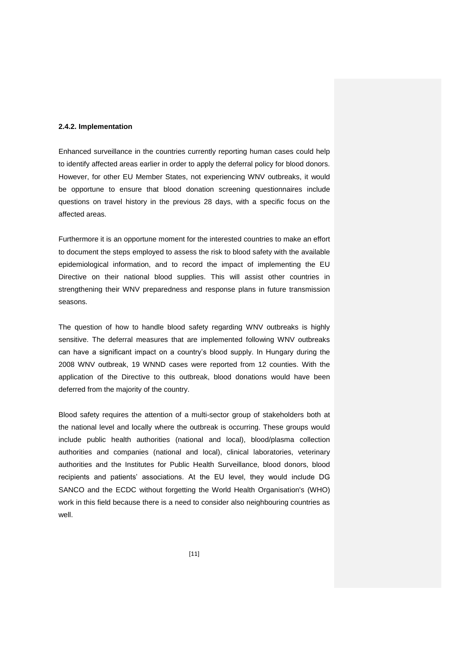### **2.4.2. Implementation**

Enhanced surveillance in the countries currently reporting human cases could help to identify affected areas earlier in order to apply the deferral policy for blood donors. However, for other EU Member States, not experiencing WNV outbreaks, it would be opportune to ensure that blood donation screening questionnaires include questions on travel history in the previous 28 days, with a specific focus on the affected areas.

Furthermore it is an opportune moment for the interested countries to make an effort to document the steps employed to assess the risk to blood safety with the available epidemiological information, and to record the impact of implementing the EU Directive on their national blood supplies. This will assist other countries in strengthening their WNV preparedness and response plans in future transmission seasons.

The question of how to handle blood safety regarding WNV outbreaks is highly sensitive. The deferral measures that are implemented following WNV outbreaks can have a significant impact on a country's blood supply. In Hungary during the 2008 WNV outbreak, 19 WNND cases were reported from 12 counties. With the application of the Directive to this outbreak, blood donations would have been deferred from the majority of the country.

Blood safety requires the attention of a multi-sector group of stakeholders both at the national level and locally where the outbreak is occurring. These groups would include public health authorities (national and local), blood/plasma collection authorities and companies (national and local), clinical laboratories, veterinary authorities and the Institutes for Public Health Surveillance, blood donors, blood recipients and patients' associations. At the EU level, they would include DG SANCO and the ECDC without forgetting the World Health Organisation's (WHO) work in this field because there is a need to consider also neighbouring countries as well.

[11]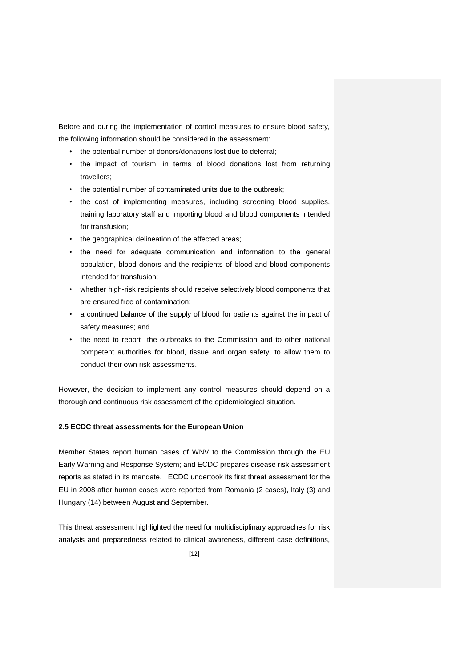Before and during the implementation of control measures to ensure blood safety, the following information should be considered in the assessment:

- the potential number of donors/donations lost due to deferral;
- the impact of tourism, in terms of blood donations lost from returning travellers;
- the potential number of contaminated units due to the outbreak;
- the cost of implementing measures, including screening blood supplies, training laboratory staff and importing blood and blood components intended for transfusion;
- the geographical delineation of the affected areas;
- the need for adequate communication and information to the general population, blood donors and the recipients of blood and blood components intended for transfusion;
- whether high-risk recipients should receive selectively blood components that are ensured free of contamination;
- a continued balance of the supply of blood for patients against the impact of safety measures; and
- the need to report the outbreaks to the Commission and to other national competent authorities for blood, tissue and organ safety, to allow them to conduct their own risk assessments.

However, the decision to implement any control measures should depend on a thorough and continuous risk assessment of the epidemiological situation.

# **2.5 ECDC threat assessments for the European Union**

Member States report human cases of WNV to the Commission through the EU Early Warning and Response System; and ECDC prepares disease risk assessment reports as stated in its mandate. ECDC undertook its first threat assessment for the EU in 2008 after human cases were reported from Romania (2 cases), Italy (3) and Hungary (14) between August and September.

This threat assessment highlighted the need for multidisciplinary approaches for risk analysis and preparedness related to clinical awareness, different case definitions,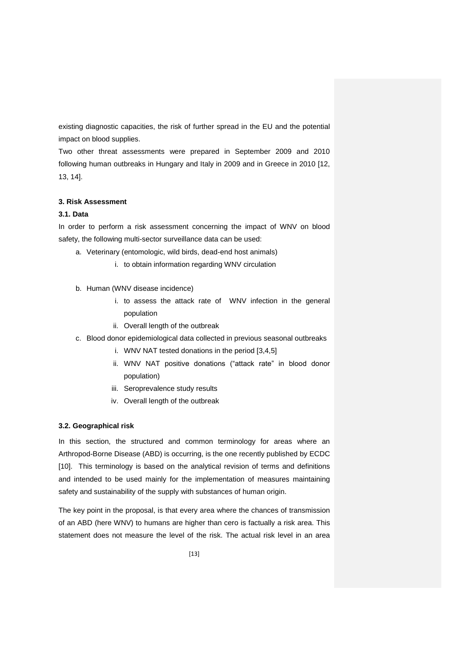existing diagnostic capacities, the risk of further spread in the EU and the potential impact on blood supplies.

Two other threat assessments were prepared in September 2009 and 2010 following human outbreaks in Hungary and Italy in 2009 and in Greece in 2010 [12, 13, 14].

### **3. Risk Assessment**

# **3.1. Data**

In order to perform a risk assessment concerning the impact of WNV on blood safety, the following multi-sector surveillance data can be used:

- a. Veterinary (entomologic, wild birds, dead-end host animals)
	- i. to obtain information regarding WNV circulation
- b. Human (WNV disease incidence)
	- i. to assess the attack rate of WNV infection in the general population
	- ii. Overall length of the outbreak
- c. Blood donor epidemiological data collected in previous seasonal outbreaks
	- i. WNV NAT tested donations in the period [3,4,5]
	- ii. WNV NAT positive donations ("attack rate" in blood donor population)
	- iii. Seroprevalence study results
	- iv. Overall length of the outbreak

### **3.2. Geographical risk**

In this section, the structured and common terminology for areas where an Arthropod-Borne Disease (ABD) is occurring, is the one recently published by ECDC [10]. This terminology is based on the analytical revision of terms and definitions and intended to be used mainly for the implementation of measures maintaining safety and sustainability of the supply with substances of human origin.

The key point in the proposal, is that every area where the chances of transmission of an ABD (here WNV) to humans are higher than cero is factually a risk area. This statement does not measure the level of the risk. The actual risk level in an area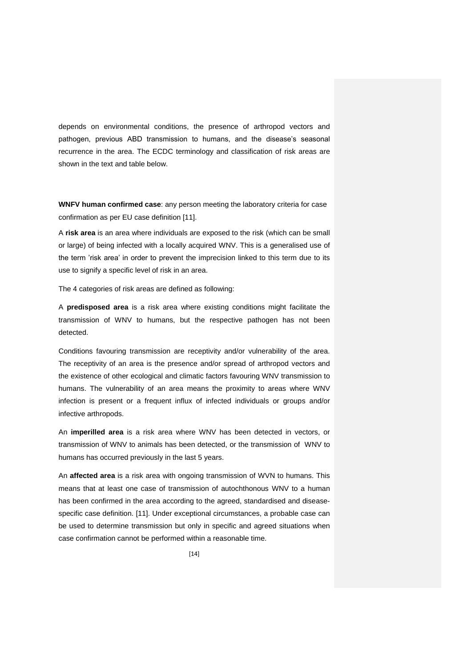depends on environmental conditions, the presence of arthropod vectors and pathogen, previous ABD transmission to humans, and the disease's seasonal recurrence in the area. The ECDC terminology and classification of risk areas are shown in the text and table below.

**WNFV human confirmed case**: any person meeting the laboratory criteria for case confirmation as per EU case definition [11].

A **risk area** is an area where individuals are exposed to the risk (which can be small or large) of being infected with a locally acquired WNV. This is a generalised use of the term 'risk area' in order to prevent the imprecision linked to this term due to its use to signify a specific level of risk in an area.

The 4 categories of risk areas are defined as following:

A **predisposed area** is a risk area where existing conditions might facilitate the transmission of WNV to humans, but the respective pathogen has not been detected.

Conditions favouring transmission are receptivity and/or vulnerability of the area. The receptivity of an area is the presence and/or spread of arthropod vectors and the existence of other ecological and climatic factors favouring WNV transmission to humans. The vulnerability of an area means the proximity to areas where WNV infection is present or a frequent influx of infected individuals or groups and/or infective arthropods.

An **imperilled area** is a risk area where WNV has been detected in vectors, or transmission of WNV to animals has been detected, or the transmission of WNV to humans has occurred previously in the last 5 years.

An **affected area** is a risk area with ongoing transmission of WVN to humans. This means that at least one case of transmission of autochthonous WNV to a human has been confirmed in the area according to the agreed, standardised and diseasespecific case definition. [11]. Under exceptional circumstances, a probable case can be used to determine transmission but only in specific and agreed situations when case confirmation cannot be performed within a reasonable time.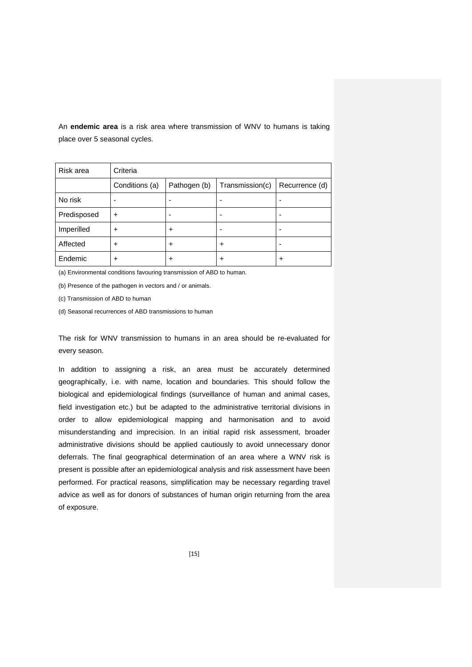An **endemic area** is a risk area where transmission of WNV to humans is taking place over 5 seasonal cycles.

| Risk area   | Criteria       |              |                          |                |
|-------------|----------------|--------------|--------------------------|----------------|
|             | Conditions (a) | Pathogen (b) | Transmission(c)          | Recurrence (d) |
| No risk     |                |              | $\overline{\phantom{0}}$ |                |
| Predisposed | $\ddot{}$      |              | -                        | ۰              |
| Imperilled  | $\ddot{}$      | ٠            | -                        |                |
| Affected    | $\ddot{}$      | ٠            | ٠                        |                |
| Endemic     | ÷              | +            | +                        | ٠              |

(a) Environmental conditions favouring transmission of ABD to human.

(b) Presence of the pathogen in vectors and / or animals.

(c) Transmission of ABD to human

(d) Seasonal recurrences of ABD transmissions to human

The risk for WNV transmission to humans in an area should be re-evaluated for every season.

In addition to assigning a risk, an area must be accurately determined geographically, i.e. with name, location and boundaries. This should follow the biological and epidemiological findings (surveillance of human and animal cases, field investigation etc.) but be adapted to the administrative territorial divisions in order to allow epidemiological mapping and harmonisation and to avoid misunderstanding and imprecision. In an initial rapid risk assessment, broader administrative divisions should be applied cautiously to avoid unnecessary donor deferrals. The final geographical determination of an area where a WNV risk is present is possible after an epidemiological analysis and risk assessment have been performed. For practical reasons, simplification may be necessary regarding travel advice as well as for donors of substances of human origin returning from the area of exposure.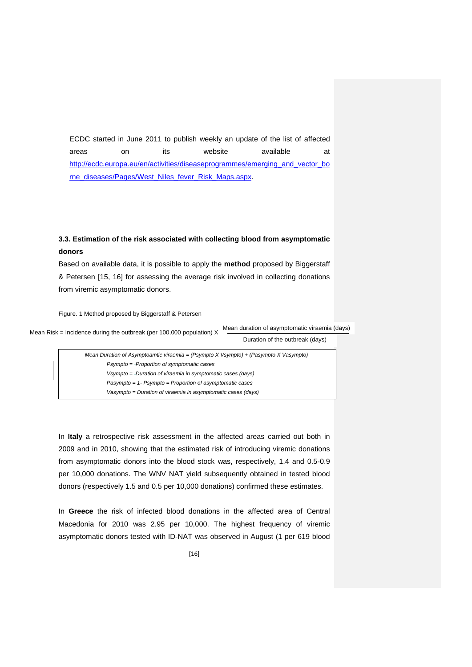ECDC started in June 2011 to publish weekly an update of the list of affected areas on its website available at [http://ecdc.europa.eu/en/activities/diseaseprogrammes/emerging\\_and\\_vector\\_bo](http://ecdc.europa.eu/en/activities/diseaseprogrammes/emerging_and_vector_borne_diseases/Pages/West_Niles_fever_Risk_Maps.aspx) [rne\\_diseases/Pages/West\\_Niles\\_fever\\_Risk\\_Maps.aspx.](http://ecdc.europa.eu/en/activities/diseaseprogrammes/emerging_and_vector_borne_diseases/Pages/West_Niles_fever_Risk_Maps.aspx)

# **3.3. Estimation of the risk associated with collecting blood from asymptomatic donors**

Based on available data, it is possible to apply the **method** proposed by Biggerstaff & Petersen [15, 16] for assessing the average risk involved in collecting donations from viremic asymptomatic donors.

Figure. 1 Method proposed by Biggerstaff & Petersen

Mean Risk = Incidence during the outbreak (per 100,000 population) X Mean duration of asymptomatic viraemia (days)

Duration of the outbreak (days)

In **Italy** a retrospective risk assessment in the affected areas carried out both in 2009 and in 2010, showing that the estimated risk of introducing viremic donations from asymptomatic donors into the blood stock was, respectively, 1.4 and 0.5-0.9 per 10,000 donations. The WNV NAT yield subsequently obtained in tested blood donors (respectively 1.5 and 0.5 per 10,000 donations) confirmed these estimates.

In **Greece** the risk of infected blood donations in the affected area of Central Macedonia for 2010 was 2.95 per 10,000. The highest frequency of viremic asymptomatic donors tested with ID-NAT was observed in August (1 per 619 blood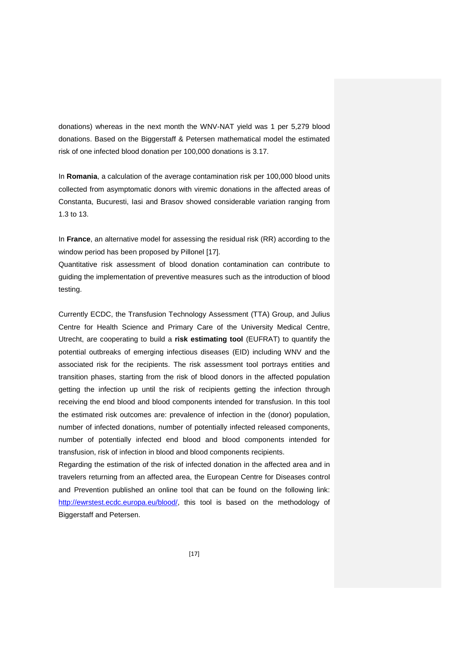donations) whereas in the next month the WNV-NAT yield was 1 per 5,279 blood donations. Based on the Biggerstaff & Petersen mathematical model the estimated risk of one infected blood donation per 100,000 donations is 3.17.

In **Romania**, a calculation of the average contamination risk per 100,000 blood units collected from asymptomatic donors with viremic donations in the affected areas of Constanta, Bucuresti, Iasi and Brasov showed considerable variation ranging from 1.3 to 13.

In **France**, an alternative model for assessing the residual risk (RR) according to the window period has been proposed by Pillonel [17].

Quantitative risk assessment of blood donation contamination can contribute to guiding the implementation of preventive measures such as the introduction of blood testing.

Currently ECDC, the Transfusion Technology Assessment (TTA) Group, and Julius Centre for Health Science and Primary Care of the University Medical Centre, Utrecht, are cooperating to build a **risk estimating tool** (EUFRAT) to quantify the potential outbreaks of emerging infectious diseases (EID) including WNV and the associated risk for the recipients. The risk assessment tool portrays entities and transition phases, starting from the risk of blood donors in the affected population getting the infection up until the risk of recipients getting the infection through receiving the end blood and blood components intended for transfusion. In this tool the estimated risk outcomes are: prevalence of infection in the (donor) population, number of infected donations, number of potentially infected released components, number of potentially infected end blood and blood components intended for transfusion, risk of infection in blood and blood components recipients.

Regarding the estimation of the risk of infected donation in the affected area and in travelers returning from an affected area, the European Centre for Diseases control and Prevention published an online tool that can be found on the following link: [http://ewrstest.ecdc.europa.eu/blood/,](http://ewrstest.ecdc.europa.eu/blood/) this tool is based on the methodology of Biggerstaff and Petersen.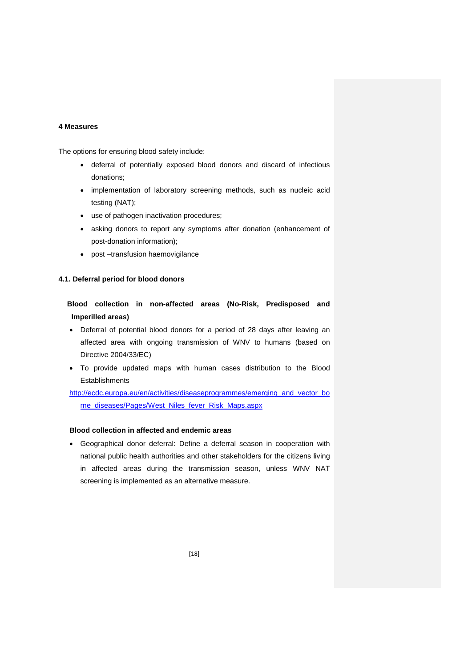# **4 Measures**

The options for ensuring blood safety include:

- deferral of potentially exposed blood donors and discard of infectious donations;
- implementation of laboratory screening methods, such as nucleic acid testing (NAT);
- use of pathogen inactivation procedures;
- asking donors to report any symptoms after donation (enhancement of post-donation information);
- post –transfusion haemovigilance

### **4.1. Deferral period for blood donors**

**Blood collection in non-affected areas (No-Risk, Predisposed and Imperilled areas)**

- Deferral of potential blood donors for a period of 28 days after leaving an affected area with ongoing transmission of WNV to humans (based on Directive 2004/33/EC)
- To provide updated maps with human cases distribution to the Blood **Establishments**

[http://ecdc.europa.eu/en/activities/diseaseprogrammes/emerging\\_and\\_vector\\_bo](http://ecdc.europa.eu/en/activities/diseaseprogrammes/emerging_and_vector_borne_diseases/Pages/West_Niles_fever_Risk_Maps.aspx) [rne\\_diseases/Pages/West\\_Niles\\_fever\\_Risk\\_Maps.aspx](http://ecdc.europa.eu/en/activities/diseaseprogrammes/emerging_and_vector_borne_diseases/Pages/West_Niles_fever_Risk_Maps.aspx)

# **Blood collection in affected and endemic areas**

 Geographical donor deferral: Define a deferral season in cooperation with national public health authorities and other stakeholders for the citizens living in affected areas during the transmission season, unless WNV NAT screening is implemented as an alternative measure.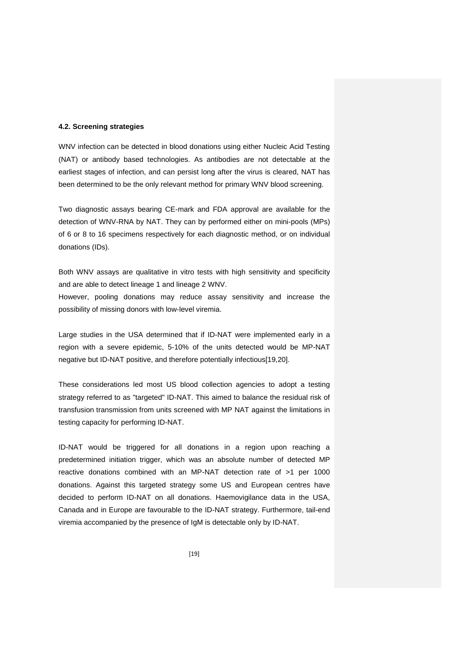### **4.2. Screening strategies**

WNV infection can be detected in blood donations using either Nucleic Acid Testing (NAT) or antibody based technologies. As antibodies are not detectable at the earliest stages of infection, and can persist long after the virus is cleared, NAT has been determined to be the only relevant method for primary WNV blood screening.

Two diagnostic assays bearing CE-mark and FDA approval are available for the detection of WNV-RNA by NAT. They can by performed either on mini-pools (MPs) of 6 or 8 to 16 specimens respectively for each diagnostic method, or on individual donations (IDs).

Both WNV assays are qualitative in vitro tests with high sensitivity and specificity and are able to detect lineage 1 and lineage 2 WNV.

However, pooling donations may reduce assay sensitivity and increase the possibility of missing donors with low-level viremia.

Large studies in the USA determined that if ID-NAT were implemented early in a region with a severe epidemic, 5-10% of the units detected would be MP-NAT negative but ID-NAT positive, and therefore potentially infectious[19,20].

These considerations led most US blood collection agencies to adopt a testing strategy referred to as "targeted" ID-NAT. This aimed to balance the residual risk of transfusion transmission from units screened with MP NAT against the limitations in testing capacity for performing ID-NAT.

ID-NAT would be triggered for all donations in a region upon reaching a predetermined initiation trigger, which was an absolute number of detected MP reactive donations combined with an MP-NAT detection rate of >1 per 1000 donations. Against this targeted strategy some US and European centres have decided to perform ID-NAT on all donations. Haemovigilance data in the USA, Canada and in Europe are favourable to the ID-NAT strategy. Furthermore, tail-end viremia accompanied by the presence of IgM is detectable only by ID-NAT.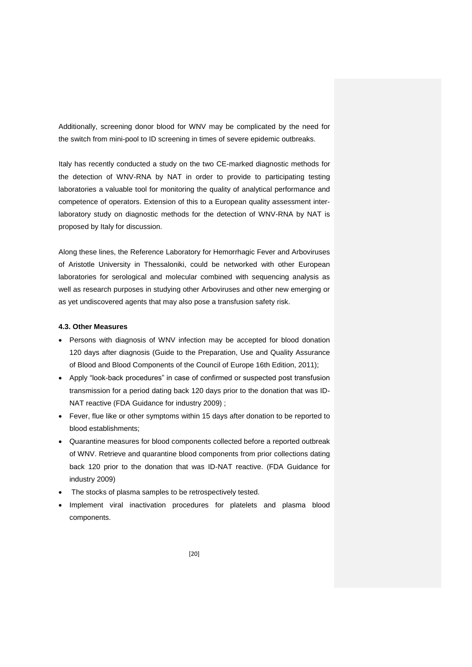Additionally, screening donor blood for WNV may be complicated by the need for the switch from mini-pool to ID screening in times of severe epidemic outbreaks.

Italy has recently conducted a study on the two CE-marked diagnostic methods for the detection of WNV-RNA by NAT in order to provide to participating testing laboratories a valuable tool for monitoring the quality of analytical performance and competence of operators. Extension of this to a European quality assessment interlaboratory study on diagnostic methods for the detection of WNV-RNA by NAT is proposed by Italy for discussion.

Along these lines, the Reference Laboratory for Hemorrhagic Fever and Arboviruses of Aristotle University in Thessaloniki, could be networked with other European laboratories for serological and molecular combined with sequencing analysis as well as research purposes in studying other Arboviruses and other new emerging or as yet undiscovered agents that may also pose a transfusion safety risk.

# **4.3. Other Measures**

- Persons with diagnosis of WNV infection may be accepted for blood donation 120 days after diagnosis (Guide to the Preparation, Use and Quality Assurance of Blood and Blood Components of the Council of Europe 16th Edition, 2011);
- Apply "look-back procedures" in case of confirmed or suspected post transfusion transmission for a period dating back 120 days prior to the donation that was ID-NAT reactive (FDA Guidance for industry 2009) ;
- Fever, flue like or other symptoms within 15 days after donation to be reported to blood establishments;
- Quarantine measures for blood components collected before a reported outbreak of WNV. Retrieve and quarantine blood components from prior collections dating back 120 prior to the donation that was ID-NAT reactive. (FDA Guidance for industry 2009)
- The stocks of plasma samples to be retrospectively tested.
- Implement viral inactivation procedures for platelets and plasma blood components.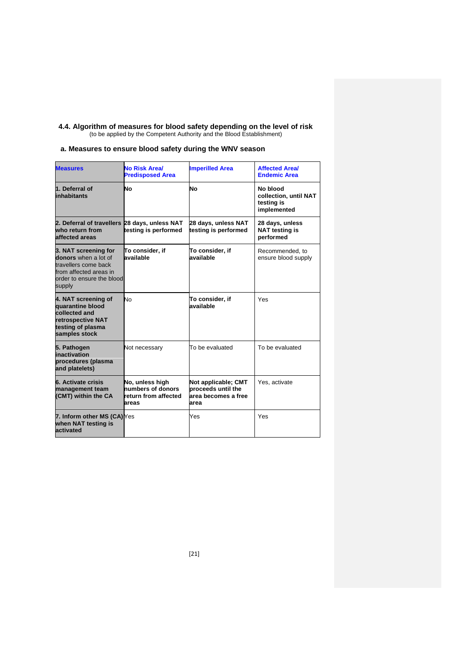#### **4.4. Algorithm of measures for blood safety depending on the level of risk** (to be applied by the Competent Authority and the Blood Establishment)

# **a. Measures to ensure blood safety during the WNV season**

| <b>Measures</b>                                                                                                                       | <b>No Risk Area/</b><br><b>Predisposed Area</b>                       | <b>Imperilled Area</b>                                                   | <b>Affected Areal</b><br><b>Endemic Area</b>                   |
|---------------------------------------------------------------------------------------------------------------------------------------|-----------------------------------------------------------------------|--------------------------------------------------------------------------|----------------------------------------------------------------|
| 1. Deferral of<br>inhabitants                                                                                                         | Νo                                                                    | No                                                                       | No blood<br>collection, until NAT<br>testing is<br>implemented |
| 2. Deferral of travellers 28 days, unless NAT<br>who return from<br>affected areas                                                    | testing is performed                                                  | 28 days, unless NAT<br>testing is performed                              | 28 days, unless<br><b>NAT testing is</b><br>performed          |
| 3. NAT screening for<br>donors when a lot of<br>travellers come back<br>from affected areas in<br>order to ensure the blood<br>supply | To consider, if<br>available                                          | To consider, if<br>available                                             | Recommended, to<br>ensure blood supply                         |
| 4. NAT screening of<br>quarantine blood<br>collected and<br>retrospective NAT<br>testing of plasma<br>samples stock                   | No                                                                    | To consider, if<br>available                                             | Yes                                                            |
| 5. Pathogen<br>inactivation<br>procedures (plasma<br>and platelets)                                                                   | Not necessary                                                         | To be evaluated                                                          | To be evaluated                                                |
| 6. Activate crisis<br>management team<br>(CMT) within the CA                                                                          | No, unless high<br>numbers of donors<br>return from affected<br>areas | Not applicable; CMT<br>proceeds until the<br>area becomes a free<br>area | Yes, activate                                                  |
| 7. Inform other MS (CA) Yes<br>when NAT testing is<br>activated                                                                       |                                                                       | Yes                                                                      | Yes                                                            |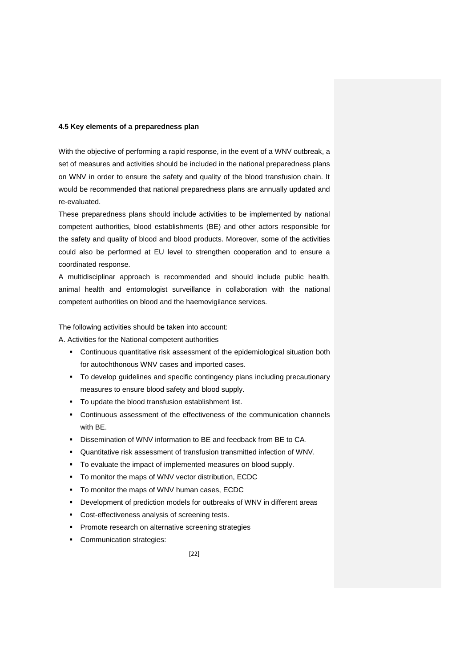### **4.5 Key elements of a preparedness plan**

With the objective of performing a rapid response, in the event of a WNV outbreak, a set of measures and activities should be included in the national preparedness plans on WNV in order to ensure the safety and quality of the blood transfusion chain. It would be recommended that national preparedness plans are annually updated and re-evaluated.

These preparedness plans should include activities to be implemented by national competent authorities, blood establishments (BE) and other actors responsible for the safety and quality of blood and blood products. Moreover, some of the activities could also be performed at EU level to strengthen cooperation and to ensure a coordinated response.

A multidisciplinar approach is recommended and should include public health, animal health and entomologist surveillance in collaboration with the national competent authorities on blood and the haemovigilance services.

The following activities should be taken into account:

A. Activities for the National competent authorities

- Continuous quantitative risk assessment of the epidemiological situation both for autochthonous WNV cases and imported cases.
- To develop guidelines and specific contingency plans including precautionary measures to ensure blood safety and blood supply.
- To update the blood transfusion establishment list.
- Continuous assessment of the effectiveness of the communication channels with BE.
- Dissemination of WNV information to BE and feedback from BE to CA.
- Quantitative risk assessment of transfusion transmitted infection of WNV.
- $\blacksquare$  To evaluate the impact of implemented measures on blood supply.
- To monitor the maps of WNV vector distribution, ECDC
- To monitor the maps of WNV human cases, ECDC
- Development of prediction models for outbreaks of WNV in different areas
- Cost-effectiveness analysis of screening tests.
- **Promote research on alternative screening strategies**
- Communication strategies: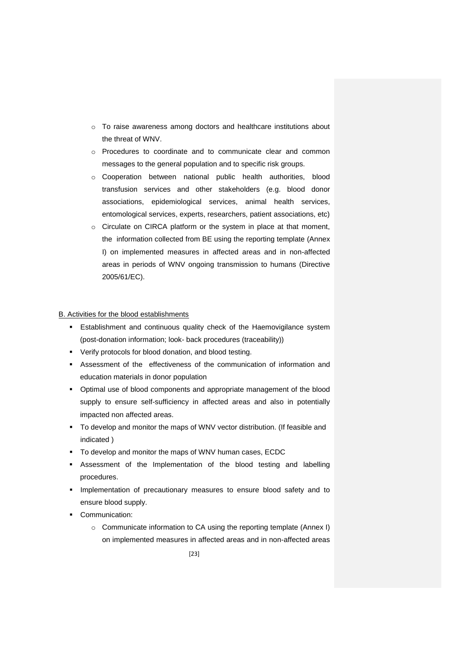- o To raise awareness among doctors and healthcare institutions about the threat of WNV.
- o Procedures to coordinate and to communicate clear and common messages to the general population and to specific risk groups.
- o Cooperation between national public health authorities, blood transfusion services and other stakeholders (e.g. blood donor associations, epidemiological services, animal health services, entomological services, experts, researchers, patient associations, etc)
- o Circulate on CIRCA platform or the system in place at that moment, the information collected from BE using the reporting template (Annex I) on implemented measures in affected areas and in non-affected areas in periods of WNV ongoing transmission to humans (Directive 2005/61/EC).

### B. Activities for the blood establishments

- Establishment and continuous quality check of the Haemovigilance system (post-donation information; look- back procedures (traceability))
- Verify protocols for blood donation, and blood testing.
- Assessment of the effectiveness of the communication of information and education materials in donor population
- Optimal use of blood components and appropriate management of the blood supply to ensure self-sufficiency in affected areas and also in potentially impacted non affected areas.
- To develop and monitor the maps of WNV vector distribution. (If feasible and indicated )
- To develop and monitor the maps of WNV human cases, ECDC
- Assessment of the Implementation of the blood testing and labelling procedures.
- **Implementation of precautionary measures to ensure blood safety and to** ensure blood supply.
- **•** Communication:
	- o Communicate information to CA using the reporting template (Annex I) on implemented measures in affected areas and in non-affected areas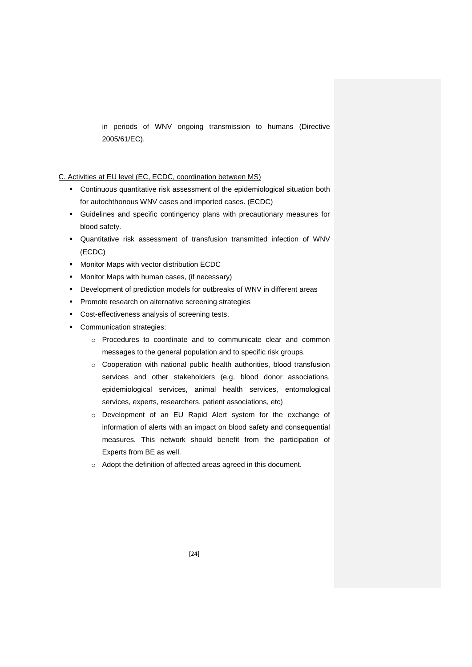in periods of WNV ongoing transmission to humans (Directive 2005/61/EC).

# C. Activities at EU level (EC, ECDC, coordination between MS)

- Continuous quantitative risk assessment of the epidemiological situation both for autochthonous WNV cases and imported cases. (ECDC)
- Guidelines and specific contingency plans with precautionary measures for blood safety.
- Quantitative risk assessment of transfusion transmitted infection of WNV (ECDC)
- **Monitor Maps with vector distribution ECDC**
- Monitor Maps with human cases, (if necessary)
- Development of prediction models for outbreaks of WNV in different areas
- **Promote research on alternative screening strategies**
- Cost-effectiveness analysis of screening tests.
- **Communication strategies:** 
	- o Procedures to coordinate and to communicate clear and common messages to the general population and to specific risk groups.
	- o Cooperation with national public health authorities, blood transfusion services and other stakeholders (e.g. blood donor associations, epidemiological services, animal health services, entomological services, experts, researchers, patient associations, etc)
	- o Development of an EU Rapid Alert system for the exchange of information of alerts with an impact on blood safety and consequential measures. This network should benefit from the participation of Experts from BE as well.
	- o Adopt the definition of affected areas agreed in this document.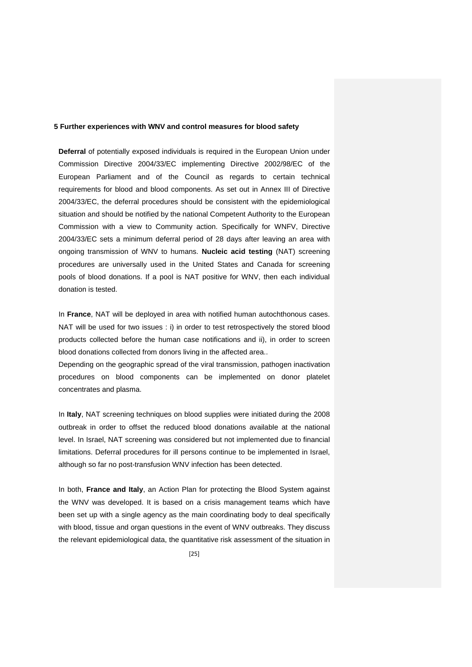### **5 Further experiences with WNV and control measures for blood safety**

**Deferral** of potentially exposed individuals is required in the European Union under Commission Directive 2004/33/EC implementing Directive 2002/98/EC of the European Parliament and of the Council as regards to certain technical requirements for blood and blood components. As set out in Annex III of Directive 2004/33/EC, the deferral procedures should be consistent with the epidemiological situation and should be notified by the national Competent Authority to the European Commission with a view to Community action. Specifically for WNFV, Directive 2004/33/EC sets a minimum deferral period of 28 days after leaving an area with ongoing transmission of WNV to humans. **Nucleic acid testing** (NAT) screening procedures are universally used in the United States and Canada for screening pools of blood donations. If a pool is NAT positive for WNV, then each individual donation is tested.

In **France**, NAT will be deployed in area with notified human autochthonous cases. NAT will be used for two issues : i) in order to test retrospectively the stored blood products collected before the human case notifications and ii), in order to screen blood donations collected from donors living in the affected area..

Depending on the geographic spread of the viral transmission, pathogen inactivation procedures on blood components can be implemented on donor platelet concentrates and plasma.

In **Italy**, NAT screening techniques on blood supplies were initiated during the 2008 outbreak in order to offset the reduced blood donations available at the national level. In Israel, NAT screening was considered but not implemented due to financial limitations. Deferral procedures for ill persons continue to be implemented in Israel, although so far no post-transfusion WNV infection has been detected.

In both, **France and Italy**, an Action Plan for protecting the Blood System against the WNV was developed. It is based on a crisis management teams which have been set up with a single agency as the main coordinating body to deal specifically with blood, tissue and organ questions in the event of WNV outbreaks. They discuss the relevant epidemiological data, the quantitative risk assessment of the situation in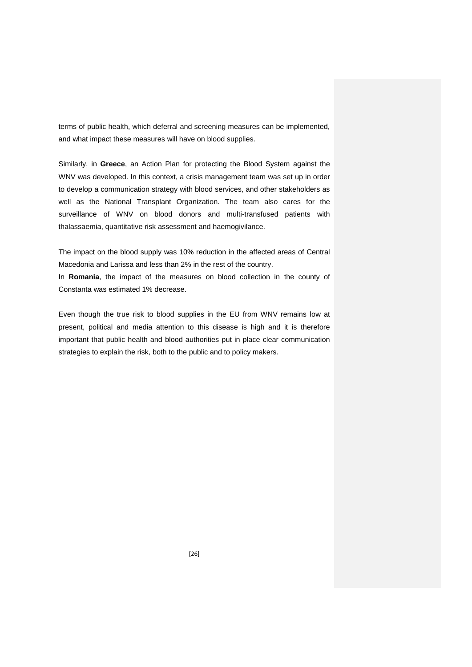terms of public health, which deferral and screening measures can be implemented, and what impact these measures will have on blood supplies.

Similarly, in **Greece**, an Action Plan for protecting the Blood System against the WNV was developed. In this context, a crisis management team was set up in order to develop a communication strategy with blood services, and other stakeholders as well as the National Transplant Organization. The team also cares for the surveillance of WNV on blood donors and multi-transfused patients with thalassaemia, quantitative risk assessment and haemogivilance.

The impact on the blood supply was 10% reduction in the affected areas of Central Macedonia and Larissa and less than 2% in the rest of the country.

In **Romania**, the impact of the measures on blood collection in the county of Constanta was estimated 1% decrease.

Even though the true risk to blood supplies in the EU from WNV remains low at present, political and media attention to this disease is high and it is therefore important that public health and blood authorities put in place clear communication strategies to explain the risk, both to the public and to policy makers.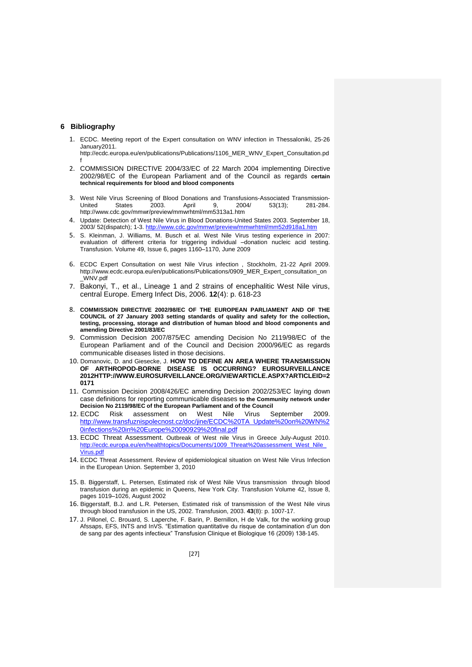### **6 Bibliography**

1. ECDC. Meeting report of the Expert consultation on WNV infection in Thessaloniki, 25-26 January2011.

http://ecdc.europa.eu/en/publications/Publications/1106\_MER\_WNV\_Expert\_Consultation.pd f

- 2. COMMISSION DIRECTIVE 2004/33/EC of 22 March 2004 implementing Directive 2002/98/EC of the European Parliament and of the Council as regards **certain technical requirements for blood and blood components**
- 3. West Nile Virus Screening of Blood Donations and Transfusions-Associated Transmission-<br>United States 2003. April 9. 2004/ 53(13): 281-284. United States 2003. April 9, 2004/ 53(13); 281-284. http://www.cdc.gov/mmwr/preview/mmwrhtml/mm5313a1.htm
- 4. Update: Detection of West Nile Virus in Blood Donations-United States 2003. September 18, 2003/ 52(dispatch); 1-3.<http://www.cdc.gov/mmwr/preview/mmwrhtml/mm52d918a1.htm>
- 5. S. Kleinman, J. Williams, M. Busch et al. West Nile Virus testing experience in 2007: evaluation of different criteria for triggering individual –donation nucleic acid testing. Transfusion. [Volume 49, Issue 6, p](http://onlinelibrary.wiley.com/doi/10.1111/trf.2009.49.issue-6/issuetoc)ages 1160–1170, June 2009
- 6. ECDC Expert Consultation on west Nile Virus infection , Stockholm, 21-22 April 2009. http://www.ecdc.europa.eu/en/publications/Publications/0909\_MER\_Expert\_consultation\_on \_WNV.pdf
- 7. Bakonyi, T., et al., Lineage 1 and 2 strains of encephalitic West Nile virus, central Europe. Emerg Infect Dis, 2006. **12**(4): p. 618-23
- 8. **COMMISSION DIRECTIVE 2002/98/EC OF THE EUROPEAN PARLIAMENT AND OF THE COUNCIL of 27 January 2003 setting standards of quality and safety for the collection, testing, processing, storage and distribution of human blood and blood components and amending Directive 2001/83/EC**
- 9. Commission Decision 2007/875/EC amending Decision No 2119/98/EC of the European Parliament and of the Council and Decision 2000/96/EC as regards communicable diseases listed in those decisions.
- 10. Domanovic, D. and Giesecke, J. **HOW TO DEFINE AN AREA WHERE TRANSMISSION OF ARTHROPOD-BORNE DISEASE IS OCCURRING? EUROSURVEILLANCE 2012HTTP://WWW.EUROSURVEILLANCE.ORG/VIEWARTICLE.ASPX?ARTICLEID=2 0171**
- 11. Commission Decision 2008/426/EC amending Decision 2002/253/EC laying down case definitions for reporting communicable diseases **to the Community network under Decision No 2119/98/EC of the European Parliament and of the Council**
- 12. ECDC Risk assessment on West Nile Virus September 2009. [http://www.transfuznispolecnost.cz/doc/jine/ECDC%20TA\\_Update%20on%20WN%2](http://www.transfuznispolecnost.cz/doc/jine/ECDC%20TA_Update%20on%20WN%20infections%20in%20Europe%20090929%20final.pdf) [0infections%20in%20Europe%20090929%20final.pdf](http://www.transfuznispolecnost.cz/doc/jine/ECDC%20TA_Update%20on%20WN%20infections%20in%20Europe%20090929%20final.pdf)
- 13. ECDC Threat Assessment. Outbreak of West nile Virus in Greece July-August 2010. http://ecdc.europa.eu/en/healthtopics/Documents/1009\_Threat%20assessment\_West\_Nile [Virus.pdf](http://ecdc.europa.eu/en/healthtopics/Documents/1009_Threat%20assessment_West_Nile_Virus.pdf)
- 14. ECDC Threat Assessment. Review of epidemiological situation on West Nile Virus Infection in the European Union. September 3, 2010
- 15. B. Biggerstaff, L. Petersen, Estimated risk of West Nile Virus transmission through blood transfusion during an epidemic in Queens, New York City. Transfusion [Volume 42, Issue 8,](http://onlinelibrary.wiley.com/doi/10.1111/trf.2003.43.issue-8/issuetoc)  pages 1019–1026, August 2002
- 16. Biggerstaff, B.J. and L.R. Petersen, Estimated risk of transmission of the West Nile virus through blood transfusion in the US, 2002. Transfusion, 2003. **43**(8): p. 1007-17.
- 17. J. Pillonel, C. Brouard, S. Laperche, F. Barin, P. Bernillon, H de Valk, for the working group Afssaps, EFS, INTS and InVS. "Estimation quantitative du risque de contamination d'un don de sang par des agents infectieux" Transfusion Clinique et Biologique 16 (2009) 138-145.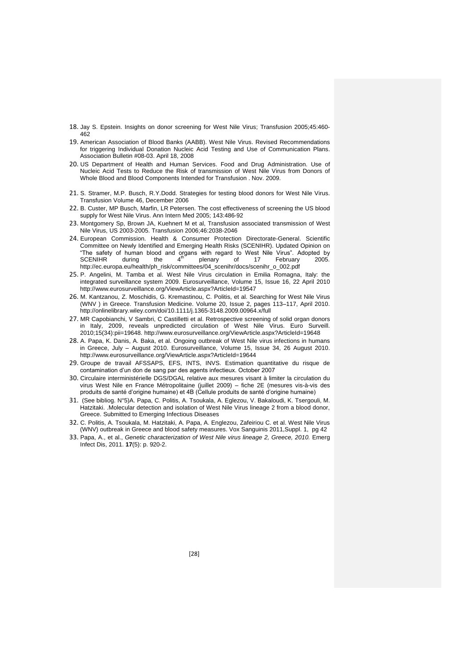- 18. Jay S. Epstein. Insights on donor screening for West Nile Virus; Transfusion 2005;45:460- 462
- 19. American Association of Blood Banks (AABB). West Nile Virus. Revised Recommendations for triggering Individual Donation Nucleic Acid Testing and Use of Communication Plans. Association Bulletin #08-03. April 18, 2008
- 20. US Department of Health and Human Services. Food and Drug Administration. Use of Nucleic Acid Tests to Reduce the Risk of transmission of West Nile Virus from Donors of Whole Blood and Blood Components Intended for Transfusion . Nov. 2009.
- 21. S. Stramer, M.P. Busch, R.Y.Dodd. Strategies for testing blood donors for West Nile Virus. Transfusion Volume 46, December 2006
- 22. B. Custer, MP Busch, Marfin, LR Petersen. The cost effectiveness of screening the US blood supply for West Nile Virus. Ann Intern Med 2005; 143:486-92
- 23. Montgomery Sp, Brown JA, Kuehnert M et al, Transfusion associated transmission of West Nile Virus, US 2003-2005. Transfusion 2006;46:2038-2046
- 24. European Commission. Health & Consumer Protection Directorate-General. Scientific Committee on Newly Identified and Emerging Health Risks (SCENIHR). Updated Opinion on "The safety of human blood and organs with regard to West Nile Virus". Adopted by<br>SCENIHR during the 4<sup>th</sup> plenary of 17 February 2005. http://ec.europa.eu/health/ph\_risk/committees/04\_scenihr/docs/scenihr\_o\_002.pdf
- 25. P. Angelini, M. Tamba et al. West Nile Virus circulation in Emilia Romagna, Italy: the integrated surveillance system 2009. Eurosurveillance, Volume 15, Issue 16, 22 April 2010 http://www.eurosurveillance.org/ViewArticle.aspx?ArticleId=19547
- 26. M. Kantzanou, Z. Moschidis, G. Kremastinou, C. Politis, et al. Searching for West Nile Virus (WNV ) in Greece. Transfusion Medicine. [Volume 20, Issue 2, p](http://onlinelibrary.wiley.com/doi/10.1111/tme.2010.20.issue-2/issuetoc)ages 113–117, April 2010. http://onlinelibrary.wiley.com/doi/10.1111/j.1365-3148.2009.00964.x/full
- 27. MR Capobianchi, V Sambri, C Castilletti et al. Retrospective screening of solid organ donors in Italy, 2009, reveals unpredicted circulation of West Nile Virus. Euro Surveill. 2010;15(34):pii=19648. http://www.eurosurveillance.org/ViewArticle.aspx?ArticleId=19648
- 28. A. Papa, K. Danis, A. Baka, et al. Ongoing outbreak of West Nile virus infections in humans in Greece, July – August 2010. Eurosurveillance, Volume 15, Issue 34, 26 August 2010. http://www.eurosurveillance.org/ViewArticle.aspx?ArticleId=19644
- 29. Groupe de travail AFSSAPS, EFS, INTS, INVS. Estimation quantitative du risque de contamination d'un don de sang par des agents infectieux. October 2007
- 30. Circulaire interministérielle DGS/DGAL relative aux mesures visant à limiter la circulation du virus West Nile en France Métropolitaine (juillet 2009) – fiche 2E (mesures vis-à-vis des produits de santé d'origine humaine) et 4B (Cellule produits de santé d'origine humaine)
- 31. (See bibliog. N°5)A. Papa, C. Politis, A. Tsoukala, A. Eglezou, V. Bakaloudi, K. Tsergouli, M. Hatzitaki. .Molecular detection and isolation of West Nile Virus lineage 2 from a blood donor, Greece. Submitted to Emerging Infectious Diseases
- 32. C. Politis, A. Tsoukala, M. Hatzitaki, A. Papa, A. Englezou, Zafeiriou C. et al. West Nile Virus (WNV) outbreak in Greece and blood safety measures. Vox Sanguinis 2011,Suppl. 1, pg 42
- 33. Papa, A., et al., *Genetic characterization of West Nile virus lineage 2, Greece, 2010.* Emerg Infect Dis, 2011. **17**(5): p. 920-2.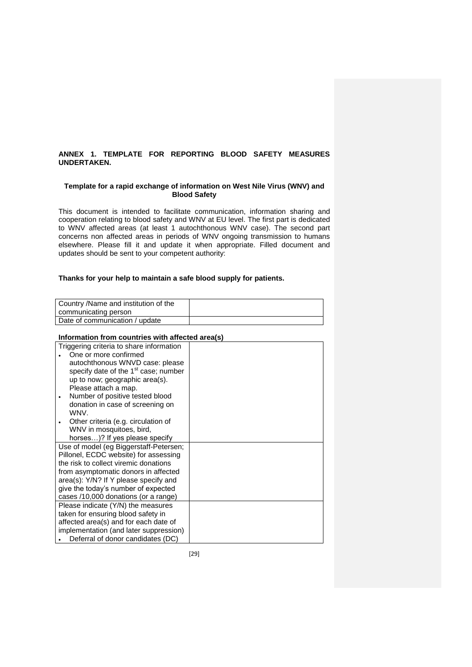# **ANNEX 1. TEMPLATE FOR REPORTING BLOOD SAFETY MEASURES UNDERTAKEN.**

# **Template for a rapid exchange of information on West Nile Virus (WNV) and Blood Safety**

This document is intended to facilitate communication, information sharing and cooperation relating to blood safety and WNV at EU level. The first part is dedicated to WNV affected areas (at least 1 autochthonous WNV case). The second part concerns non affected areas in periods of WNV ongoing transmission to humans elsewhere. Please fill it and update it when appropriate. Filled document and updates should be sent to your competent authority:

## **Thanks for your help to maintain a safe blood supply for patients.**

| Country /Name and institution of the |  |
|--------------------------------------|--|
| communicating person                 |  |
| Date of communication / update       |  |

# **Information from countries with affected area(s)**

| Triggering criteria to share information         |  |
|--------------------------------------------------|--|
| One or more confirmed                            |  |
| autochthonous WNVD case: please                  |  |
| specify date of the 1 <sup>st</sup> case; number |  |
| up to now; geographic area(s).                   |  |
| Please attach a map.                             |  |
| Number of positive tested blood                  |  |
| donation in case of screening on                 |  |
| <b>WNV</b>                                       |  |
| Other criteria (e.g. circulation of              |  |
| WNV in mosquitoes, bird,                         |  |
| horses)? If yes please specify                   |  |
| Use of model (eg Biggerstaff-Petersen;           |  |
| Pillonel, ECDC website) for assessing            |  |
| the risk to collect viremic donations            |  |
| from asymptomatic donors in affected             |  |
| area(s): Y/N? If Y please specify and            |  |
| give the today's number of expected              |  |
| cases /10,000 donations (or a range)             |  |
| Please indicate (Y/N) the measures               |  |
| taken for ensuring blood safety in               |  |
| affected area(s) and for each date of            |  |
| implementation (and later suppression)           |  |
| Deferral of donor candidates (DC)                |  |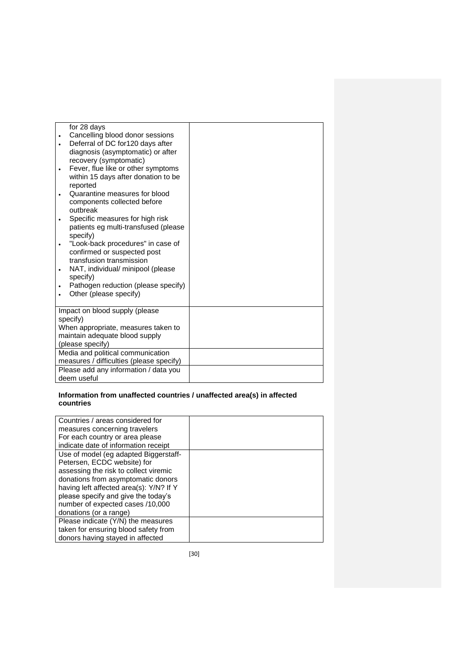| for 28 days                              |  |
|------------------------------------------|--|
| Cancelling blood donor sessions          |  |
| Deferral of DC for120 days after         |  |
| diagnosis (asymptomatic) or after        |  |
| recovery (symptomatic)                   |  |
| Fever, flue like or other symptoms       |  |
| within 15 days after donation to be      |  |
| reported                                 |  |
| Quarantine measures for blood            |  |
| components collected before              |  |
| outbreak                                 |  |
| Specific measures for high risk          |  |
| patients eg multi-transfused (please     |  |
| specify)                                 |  |
| "Look-back procedures" in case of        |  |
| confirmed or suspected post              |  |
| transfusion transmission                 |  |
| NAT, individual/ minipool (please        |  |
| specify)                                 |  |
| Pathogen reduction (please specify)      |  |
| Other (please specify)                   |  |
|                                          |  |
| Impact on blood supply (please           |  |
| specify)                                 |  |
| When appropriate, measures taken to      |  |
| maintain adequate blood supply           |  |
| (please specify)                         |  |
| Media and political communication        |  |
| measures / difficulties (please specify) |  |
| Please add any information / data you    |  |
| deem useful                              |  |

# **Information from unaffected countries / unaffected area(s) in affected countries**

| Countries / areas considered for        |  |
|-----------------------------------------|--|
| measures concerning travelers           |  |
| For each country or area please         |  |
| indicate date of information receipt    |  |
| Use of model (eg adapted Biggerstaff-   |  |
| Petersen, ECDC website) for             |  |
| assessing the risk to collect viremic   |  |
| donations from asymptomatic donors      |  |
| having left affected area(s): Y/N? If Y |  |
| please specify and give the today's     |  |
| number of expected cases /10,000        |  |
| donations (or a range)                  |  |
| Please indicate (Y/N) the measures      |  |
| taken for ensuring blood safety from    |  |
| donors having stayed in affected        |  |